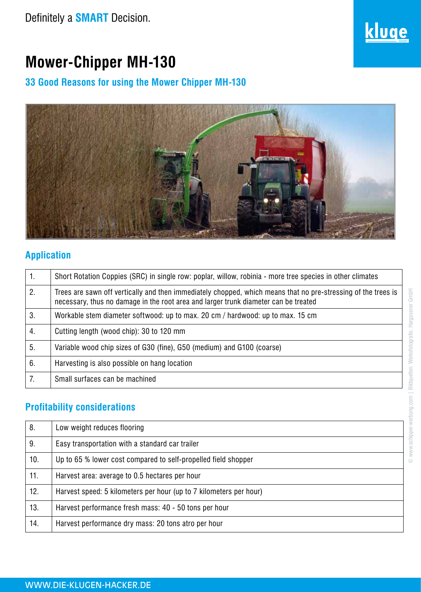

# **Mower-Chipper MH-130**

# **33 Good Reasons for using the Mower Chipper MH-130**



## **Application**

| $\mathbf{1}$ . | Short Rotation Coppies (SRC) in single row: poplar, willow, robinia - more tree species in other climates                                                                                            |
|----------------|------------------------------------------------------------------------------------------------------------------------------------------------------------------------------------------------------|
| 2.             | Trees are sawn off vertically and then immediately chopped, which means that no pre-stressing of the trees is<br>necessary, thus no damage in the root area and larger trunk diameter can be treated |
| 3.             | Workable stem diameter softwood: up to max. 20 cm / hardwood: up to max. 15 cm                                                                                                                       |
| 4.             | Cutting length (wood chip): 30 to 120 mm                                                                                                                                                             |
| 5.             | Variable wood chip sizes of G30 (fine), G50 (medium) and G100 (coarse)                                                                                                                               |
| 6.             | Harvesting is also possible on hang location                                                                                                                                                         |
|                | Small surfaces can be machined                                                                                                                                                                       |
|                |                                                                                                                                                                                                      |

# **Profitability considerations**

| 8.  | Low weight reduces flooring                                        |
|-----|--------------------------------------------------------------------|
| 9.  | Easy transportation with a standard car trailer                    |
| 10. | Up to 65 % lower cost compared to self-propelled field shopper     |
| 11. | Harvest area: average to 0.5 hectares per hour                     |
| 12. | Harvest speed: 5 kilometers per hour (up to 7 kilometers per hour) |
| 13. | Harvest performance fresh mass: 40 - 50 tons per hour              |
| 14. | Harvest performance dry mass: 20 tons atro per hour                |